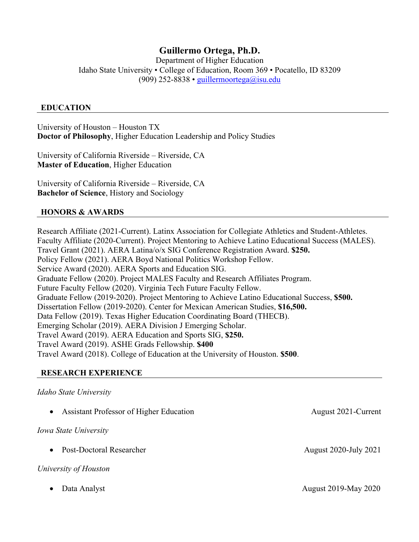# **Guillermo Ortega, Ph.D.**

Department of Higher Education Idaho State University • College of Education, Room 369 • Pocatello, ID 83209 (909) 252-8838 • guillermoortega@isu.edu

#### **EDUCATION**

University of Houston – Houston TX **Doctor of Philosophy**, Higher Education Leadership and Policy Studies

University of California Riverside – Riverside, CA **Master of Education**, Higher Education

University of California Riverside – Riverside, CA **Bachelor of Science**, History and Sociology

#### **HONORS & AWARDS**

Research Affiliate (2021-Current). Latinx Association for Collegiate Athletics and Student-Athletes. Faculty Affiliate (2020-Current). Project Mentoring to Achieve Latino Educational Success (MALES). Travel Grant (2021). AERA Latina/o/x SIG Conference Registration Award. **\$250.** Policy Fellow (2021). AERA Boyd National Politics Workshop Fellow. Service Award (2020). AERA Sports and Education SIG. Graduate Fellow (2020). Project MALES Faculty and Research Affiliates Program. Future Faculty Fellow (2020). Virginia Tech Future Faculty Fellow. Graduate Fellow (2019-2020). Project Mentoring to Achieve Latino Educational Success, **\$500.** Dissertation Fellow (2019-2020). Center for Mexican American Studies, **\$16,500.** Data Fellow (2019). Texas Higher Education Coordinating Board (THECB). Emerging Scholar (2019). AERA Division J Emerging Scholar. Travel Award (2019). AERA Education and Sports SIG, **\$250.** Travel Award (2019). ASHE Grads Fellowship. **\$400** Travel Award (2018). College of Education at the University of Houston. **\$500**.

## **RESEARCH EXPERIENCE**

#### *Idaho State University*

• Assistant Professor of Higher Education **August 2021-Current** 

#### *Iowa State University*

• Post-Doctoral Researcher August 2020-July 2021

#### *University of Houston*

• Data Analyst **August 2019-May 2020**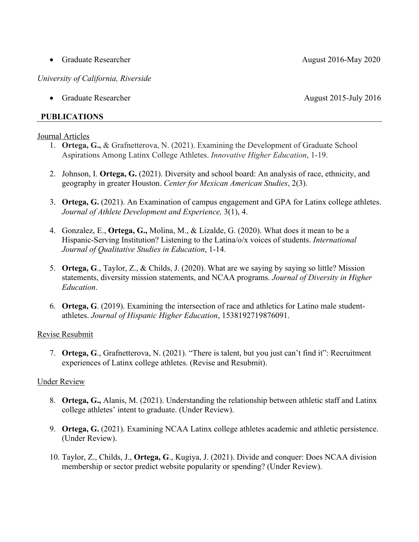• Graduate Researcher **August 2016-May 2020** 

*University of California, Riverside*

• Graduate Researcher August 2015-July 2016

## **PUBLICATIONS**

#### Journal Articles

- 1. **Ortega, G.,** & Grafnetterova, N. (2021). Examining the Development of Graduate School Aspirations Among Latinx College Athletes. *Innovative Higher Education*, 1-19.
- 2. Johnson, I. **Ortega, G.** (2021). Diversity and school board: An analysis of race, ethnicity, and geography in greater Houston. *Center for Mexican American Studies*, 2(3).
- 3. **Ortega, G.** (2021). An Examination of campus engagement and GPA for Latinx college athletes. *Journal of Athlete Development and Experience,* 3(1), 4.
- 4. Gonzalez, E., **Ortega, G.,** Molina, M., & Lizalde, G. (2020). What does it mean to be a Hispanic-Serving Institution? Listening to the Latina/o/x voices of students. *International Journal of Qualitative Studies in Education*, 1-14.
- 5. **Ortega, G**., Taylor, Z., & Childs, J. (2020). What are we saying by saying so little? Mission statements, diversity mission statements, and NCAA programs. *Journal of Diversity in Higher Education*.
- 6. **Ortega, G**. (2019). Examining the intersection of race and athletics for Latino male studentathletes. *Journal of Hispanic Higher Education*, 1538192719876091.

## Revise Resubmit

7. **Ortega, G**., Grafnetterova, N. (2021). "There is talent, but you just can't find it": Recruitment experiences of Latinx college athletes. (Revise and Resubmit).

## Under Review

- 8. **Ortega, G.,** Alanis, M. (2021). Understanding the relationship between athletic staff and Latinx college athletes' intent to graduate. (Under Review).
- 9. **Ortega, G.** (2021). Examining NCAA Latinx college athletes academic and athletic persistence. (Under Review).
- 10. Taylor, Z., Childs, J., **Ortega, G**., Kugiya, J. (2021). Divide and conquer: Does NCAA division membership or sector predict website popularity or spending? (Under Review).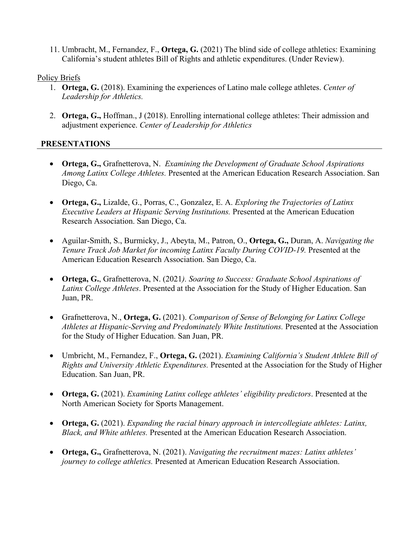11. Umbracht, M., Fernandez, F., **Ortega, G.** (2021) The blind side of college athletics: Examining California's student athletes Bill of Rights and athletic expenditures. (Under Review).

#### Policy Briefs

- 1. **Ortega, G.** (2018). Examining the experiences of Latino male college athletes. *Center of Leadership for Athletics.*
- 2. **Ortega, G.,** Hoffman., J (2018). Enrolling international college athletes: Their admission and adjustment experience. *Center of Leadership for Athletics*

## **PRESENTATIONS**

- **Ortega, G.,** Grafnetterova, N. *Examining the Development of Graduate School Aspirations Among Latinx College Athletes.* Presented at the American Education Research Association. San Diego, Ca.
- **Ortega, G.,** Lizalde, G., Porras, C., Gonzalez, E. A. *Exploring the Trajectories of Latinx Executive Leaders at Hispanic Serving Institutions.* Presented at the American Education Research Association. San Diego, Ca.
- Aguilar-Smith, S., Burmicky, J., Abeyta, M., Patron, O., **Ortega, G.,** Duran, A. *Navigating the Tenure Track Job Market for incoming Latinx Faculty During COVID-19.* Presented at the American Education Research Association. San Diego, Ca.
- **Ortega, G.**, Grafnetterova, N. (2021*). Soaring to Success: Graduate School Aspirations of Latinx College Athletes*. Presented at the Association for the Study of Higher Education. San Juan, PR.
- Grafnetterova, N., **Ortega, G.** (2021). *Comparison of Sense of Belonging for Latinx College Athletes at Hispanic-Serving and Predominately White Institutions.* Presented at the Association for the Study of Higher Education. San Juan, PR.
- Umbricht, M., Fernandez, F., **Ortega, G.** (2021). *Examining California's Student Athlete Bill of Rights and University Athletic Expenditures.* Presented at the Association for the Study of Higher Education. San Juan, PR.
- **Ortega, G.** (2021). *Examining Latinx college athletes' eligibility predictors*. Presented at the North American Society for Sports Management.
- **Ortega, G.** (2021). *Expanding the racial binary approach in intercollegiate athletes: Latinx, Black, and White athletes.* Presented at the American Education Research Association.
- **Ortega, G.,** Grafnetterova, N. (2021). *Navigating the recruitment mazes: Latinx athletes' journey to college athletics.* Presented at American Education Research Association.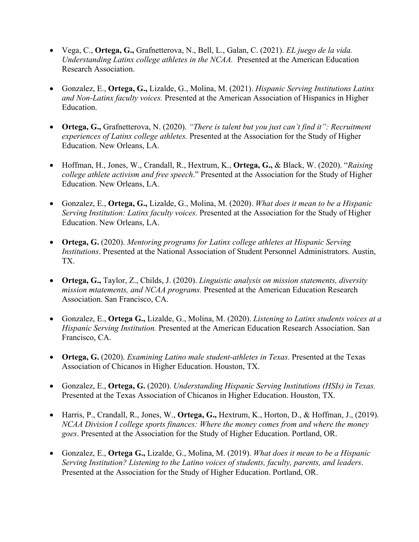- Vega, C., **Ortega, G.,** Grafnetterova, N., Bell, L., Galan, C. (2021). *EL juego de la vida. Understanding Latinx college athletes in the NCAA.* Presented at the American Education Research Association.
- Gonzalez, E., **Ortega, G.,** Lizalde, G., Molina, M. (2021). *Hispanic Serving Institutions Latinx and Non-Latinx faculty voices.* Presented at the American Association of Hispanics in Higher Education.
- **Ortega, G.,** Grafnetterova, N. (2020). *"There is talent but you just can't find it": Recruitment experiences of Latinx college athletes.* Presented at the Association for the Study of Higher Education. New Orleans, LA.
- Hoffman, H., Jones, W., Crandall, R., Hextrum, K., **Ortega, G.,** & Black, W. (2020). "*Raising college athlete activism and free speech*." Presented at the Association for the Study of Higher Education. New Orleans, LA.
- Gonzalez, E., **Ortega, G.,** Lizalde, G., Molina, M. (2020). *What does it mean to be a Hispanic Serving Institution: Latinx faculty voices.* Presented at the Association for the Study of Higher Education. New Orleans, LA.
- **Ortega, G.** (2020). *Mentoring programs for Latinx college athletes at Hispanic Serving Institutions*. Presented at the National Association of Student Personnel Administrators. Austin, TX.
- **Ortega, G.,** Taylor, Z., Childs, J. (2020). *Linguistic analysis on mission statements, diversity mission mtatements, and NCAA programs.* Presented at the American Education Research Association. San Francisco, CA.
- Gonzalez, E., **Ortega G.,** Lizalde, G., Molina, M. (2020). *Listening to Latinx students voices at a Hispanic Serving Institution.* Presented at the American Education Research Association. San Francisco, CA.
- **Ortega, G.** (2020). *Examining Latino male student-athletes in Texas*. Presented at the Texas Association of Chicanos in Higher Education. Houston, TX.
- Gonzalez, E., **Ortega, G.** (2020). *Understanding Hispanic Serving Institutions (HSIs) in Texas.*  Presented at the Texas Association of Chicanos in Higher Education. Houston, TX.
- Harris, P., Crandall, R., Jones, W., **Ortega, G.,** Hextrum, K., Horton, D., & Hoffman, J., (2019). *NCAA Division I college sports finances: Where the money comes from and where the money goes*. Presented at the Association for the Study of Higher Education. Portland, OR.
- Gonzalez, E., **Ortega G.,** Lizalde, G., Molina, M. (2019). *What does it mean to be a Hispanic Serving Institution? Listening to the Latino voices of students, faculty, parents, and leaders*. Presented at the Association for the Study of Higher Education. Portland, OR.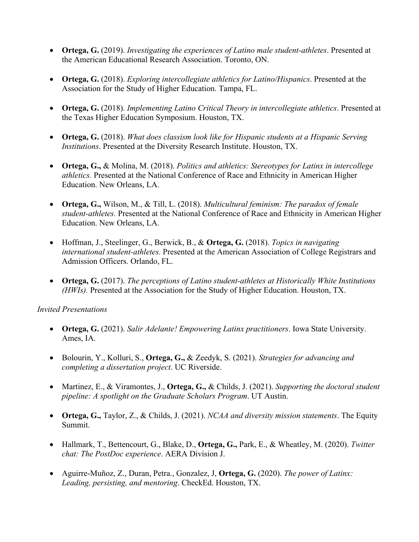- **Ortega, G.** (2019). *Investigating the experiences of Latino male student-athletes*. Presented at the American Educational Research Association. Toronto, ON.
- **Ortega, G.** (2018). *Exploring intercollegiate athletics for Latino/Hispanics*. Presented at the Association for the Study of Higher Education. Tampa, FL.
- **Ortega, G.** (2018). *Implementing Latino Critical Theory in intercollegiate athletics*. Presented at the Texas Higher Education Symposium. Houston, TX.
- **Ortega, G.** (2018). *What does classism look like for Hispanic students at a Hispanic Serving Institutions*. Presented at the Diversity Research Institute. Houston, TX.
- **Ortega, G.,** & Molina, M. (2018). *Politics and athletics: Stereotypes for Latinx in intercollege athletics.* Presented at the National Conference of Race and Ethnicity in American Higher Education. New Orleans, LA.
- **Ortega, G.,** Wilson, M., & Till, L. (2018). *Multicultural feminism: The paradox of female student-athletes.* Presented at the National Conference of Race and Ethnicity in American Higher Education. New Orleans, LA.
- Hoffman, J., Steelinger, G., Berwick, B., & **Ortega, G.** (2018). *Topics in navigating international student-athletes.* Presented at the American Association of College Registrars and Admission Officers. Orlando, FL.
- **Ortega, G.** (2017). *The perceptions of Latino student-athletes at Historically White Institutions (HWIs).* Presented at the Association for the Study of Higher Education. Houston, TX.

## *Invited Presentations*

- **Ortega, G.** (2021). *Salir Adelante! Empowering Latinx practitioners*. Iowa State University. Ames, IA.
- Bolourin, Y., Kolluri, S., **Ortega, G.,** & Zeedyk, S. (2021). *Strategies for advancing and completing a dissertation project*. UC Riverside.
- Martinez, E., & Viramontes, J., **Ortega, G.,** & Childs, J. (2021). *Supporting the doctoral student pipeline: A spotlight on the Graduate Scholars Program*. UT Austin.
- **Ortega, G.,** Taylor, Z., & Childs, J. (2021). *NCAA and diversity mission statements*. The Equity Summit.
- Hallmark, T., Bettencourt, G., Blake, D., **Ortega, G.,** Park, E., & Wheatley, M. (2020). *Twitter chat: The PostDoc experience*. AERA Division J.
- Aguirre-Muñoz, Z., Duran, Petra., Gonzalez, J, **Ortega, G.** (2020). *The power of Latinx: Leading, persisting, and mentoring*. CheckEd. Houston, TX.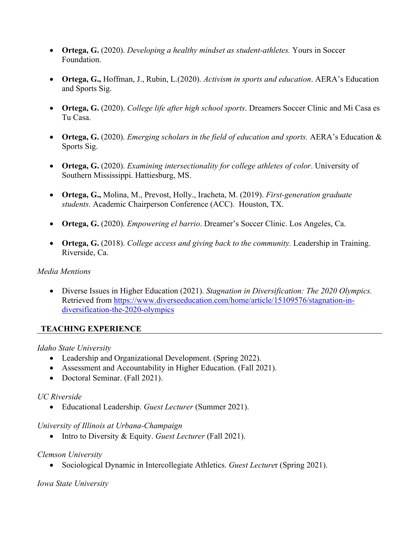- **Ortega, G.** (2020). *Developing a healthy mindset as student-athletes.* Yours in Soccer Foundation.
- **Ortega, G.,** Hoffman, J., Rubin, L.(2020). *Activism in sports and education*. AERA's Education and Sports Sig.
- **Ortega, G.** (2020). *College life after high school sports*. Dreamers Soccer Clinic and Mi Casa es Tu Casa.
- **Ortega, G.** (2020). *Emerging scholars in the field of education and sports.* AERA's Education & Sports Sig.
- **Ortega, G.** (2020). *Examining intersectionality for college athletes of color*. University of Southern Mississippi. Hattiesburg, MS.
- **Ortega, G.,** Molina, M., Prevost, Holly., Iracheta, M. (2019). *First-generation graduate students.* Academic Chairperson Conference (ACC). Houston, TX.
- **Ortega, G.** (2020). *Empowering el barrio*. Dreamer's Soccer Clinic. Los Angeles, Ca.
- **Ortega, G.** (2018). *College access and giving back to the community.* Leadership in Training. Riverside, Ca.

## *Media Mentions*

• Diverse Issues in Higher Education (2021). *Stagnation in Diversification: The 2020 Olympics.*  Retrieved from https://www.diverseeducation.com/home/article/15109576/stagnation-indiversification-the-2020-olympics

## **TEACHING EXPERIENCE**

## *Idaho State University*

- Leadership and Organizational Development. (Spring 2022).
- Assessment and Accountability in Higher Education. (Fall 2021).
- Doctoral Seminar. (Fall 2021).

## *UC Riverside*

• Educational Leadership. *Guest Lecturer* (Summer 2021).

## *University of Illinois at Urbana-Champaign*

• Intro to Diversity & Equity. *Guest Lecturer* (Fall 2021).

## *Clemson University*

• Sociological Dynamic in Intercollegiate Athletics. *Guest Lecture*r (Spring 2021).

## *Iowa State University*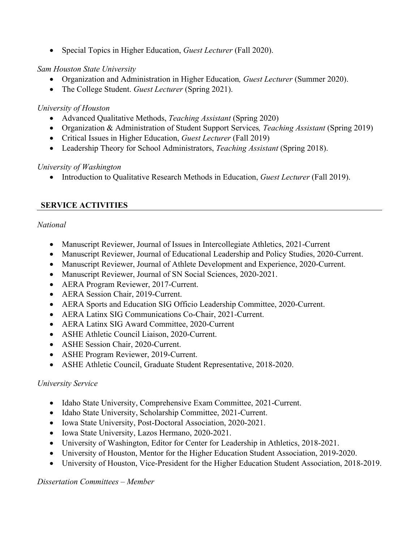• Special Topics in Higher Education, *Guest Lecturer* (Fall 2020).

## *Sam Houston State University*

- Organization and Administration in Higher Education*, Guest Lecturer* (Summer 2020).
- The College Student. *Guest Lecturer* (Spring 2021).

## *University of Houston*

- Advanced Qualitative Methods, *Teaching Assistant* (Spring 2020)
- Organization & Administration of Student Support Services*, Teaching Assistant* (Spring 2019)
- Critical Issues in Higher Education, *Guest Lecturer* (Fall 2019)
- Leadership Theory for School Administrators, *Teaching Assistant* (Spring 2018).

## *University of Washington*

• Introduction to Qualitative Research Methods in Education, *Guest Lecturer* (Fall 2019).

## **SERVICE ACTIVITIES**

## *National*

- Manuscript Reviewer, Journal of Issues in Intercollegiate Athletics, 2021-Current
- Manuscript Reviewer, Journal of Educational Leadership and Policy Studies, 2020-Current.
- Manuscript Reviewer, Journal of Athlete Development and Experience, 2020-Current.
- Manuscript Reviewer, Journal of SN Social Sciences, 2020-2021.
- AERA Program Reviewer, 2017-Current.
- AERA Session Chair, 2019-Current.
- AERA Sports and Education SIG Officio Leadership Committee, 2020-Current.
- AERA Latinx SIG Communications Co-Chair, 2021-Current.
- AERA Latinx SIG Award Committee, 2020-Current
- ASHE Athletic Council Liaison, 2020-Current.
- ASHE Session Chair, 2020-Current.
- ASHE Program Reviewer, 2019-Current.
- ASHE Athletic Council, Graduate Student Representative, 2018-2020.

## *University Service*

- Idaho State University, Comprehensive Exam Committee, 2021-Current.
- Idaho State University, Scholarship Committee, 2021-Current.
- Iowa State University, Post-Doctoral Association, 2020-2021.
- Iowa State University, Lazos Hermano, 2020-2021.
- University of Washington, Editor for Center for Leadership in Athletics, 2018-2021.
- University of Houston, Mentor for the Higher Education Student Association, 2019-2020.
- University of Houston, Vice-President for the Higher Education Student Association, 2018-2019.

## *Dissertation Committees – Member*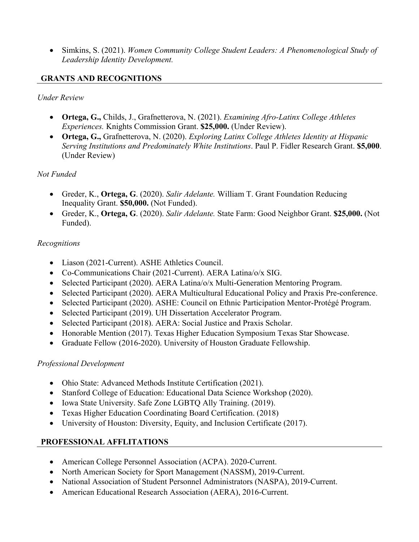• Simkins, S. (2021). *Women Community College Student Leaders: A Phenomenological Study of Leadership Identity Development.*

## **GRANTS AND RECOGNITIONS**

## *Under Review*

- **Ortega, G.,** Childs, J., Grafnetterova, N. (2021). *Examining Afro-Latinx College Athletes Experiences.* Knights Commission Grant. **\$25,000.** (Under Review).
- **Ortega, G.,** Grafnetterova, N. (2020). *Exploring Latinx College Athletes Identity at Hispanic Serving Institutions and Predominately White Institutions*. Paul P. Fidler Research Grant. **\$5,000**. (Under Review)

## *Not Funded*

- Greder, K., **Ortega, G**. (2020). *Salir Adelante.* William T. Grant Foundation Reducing Inequality Grant. **\$50,000.** (Not Funded).
- Greder, K., **Ortega, G**. (2020). *Salir Adelante.* State Farm: Good Neighbor Grant. **\$25,000.** (Not Funded).

## *Recognitions*

- Liason (2021-Current). ASHE Athletics Council.
- Co-Communications Chair (2021-Current). AERA Latina/o/x SIG.
- Selected Participant (2020). AERA Latina/o/x Multi-Generation Mentoring Program.
- Selected Participant (2020). AERA Multicultural Educational Policy and Praxis Pre-conference.
- Selected Participant (2020). ASHE: Council on Ethnic Participation Mentor-Protégé Program.
- Selected Participant (2019). UH Dissertation Accelerator Program.
- Selected Participant (2018). AERA: Social Justice and Praxis Scholar.
- Honorable Mention (2017). Texas Higher Education Symposium Texas Star Showcase.
- Graduate Fellow (2016-2020). University of Houston Graduate Fellowship.

## *Professional Development*

- Ohio State: Advanced Methods Institute Certification (2021).
- Stanford College of Education: Educational Data Science Workshop (2020).
- Iowa State University. Safe Zone LGBTQ Ally Training. (2019).
- Texas Higher Education Coordinating Board Certification. (2018)
- University of Houston: Diversity, Equity, and Inclusion Certificate (2017).

## **PROFESSIONAL AFFLITATIONS**

- American College Personnel Association (ACPA). 2020-Current.
- North American Society for Sport Management (NASSM), 2019-Current.
- National Association of Student Personnel Administrators (NASPA), 2019-Current.
- American Educational Research Association (AERA), 2016-Current.